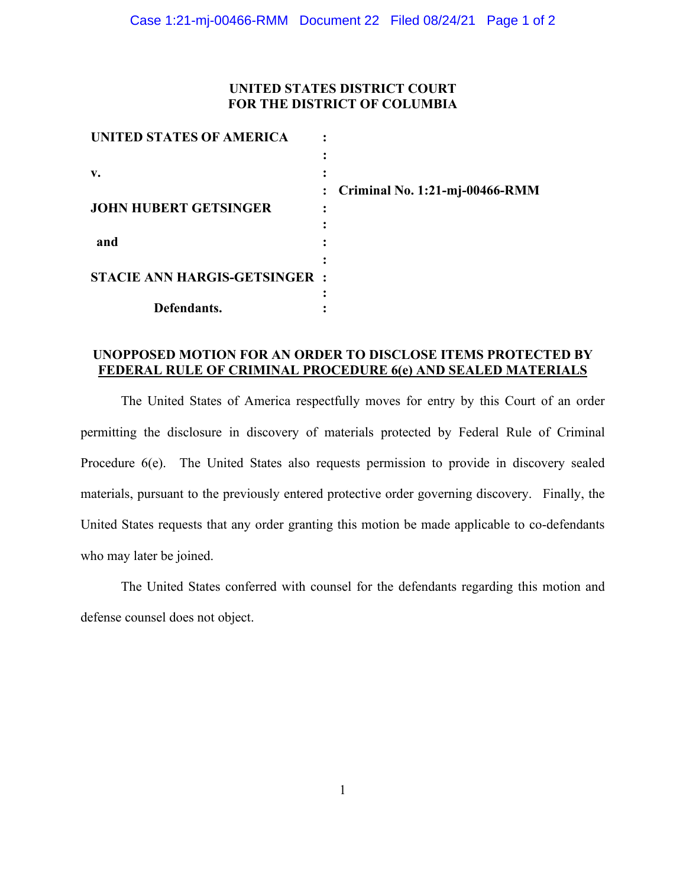### **UNITED STATES DISTRICT COURT FOR THE DISTRICT OF COLUMBIA**

| UNITED STATES OF AMERICA             |                                  |
|--------------------------------------|----------------------------------|
|                                      |                                  |
| v.                                   |                                  |
|                                      | : Criminal No. 1:21-mj-00466-RMM |
| <b>JOHN HUBERT GETSINGER</b>         |                                  |
|                                      |                                  |
| and                                  |                                  |
|                                      |                                  |
| <b>STACIE ANN HARGIS-GETSINGER :</b> |                                  |
|                                      |                                  |
| Defendants.                          |                                  |

## **UNOPPOSED MOTION FOR AN ORDER TO DISCLOSE ITEMS PROTECTED BY FEDERAL RULE OF CRIMINAL PROCEDURE 6(e) AND SEALED MATERIALS**

The United States of America respectfully moves for entry by this Court of an order permitting the disclosure in discovery of materials protected by Federal Rule of Criminal Procedure 6(e). The United States also requests permission to provide in discovery sealed materials, pursuant to the previously entered protective order governing discovery. Finally, the United States requests that any order granting this motion be made applicable to co-defendants who may later be joined.

The United States conferred with counsel for the defendants regarding this motion and defense counsel does not object.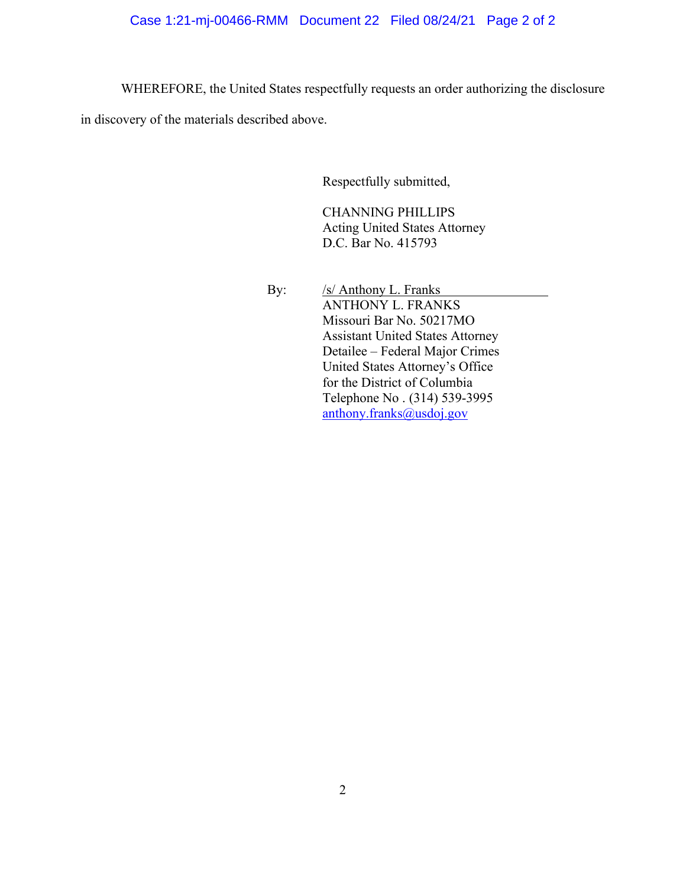# Case 1:21-mj-00466-RMM Document 22 Filed 08/24/21 Page 2 of 2

WHEREFORE, the United States respectfully requests an order authorizing the disclosure

in discovery of the materials described above.

Respectfully submitted,

CHANNING PHILLIPS Acting United States Attorney D.C. Bar No. 415793

By: /s/ Anthony L. Franks ANTHONY L. FRANKS Missouri Bar No. 50217MO Assistant United States Attorney Detailee – Federal Major Crimes United States Attorney's Office for the District of Columbia Telephone No . (314) 539-3995 anthony.franks@usdoj.gov